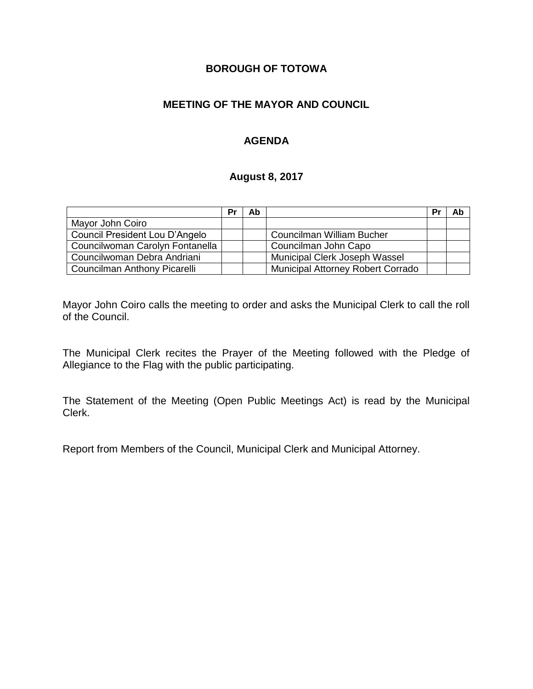## **BOROUGH OF TOTOWA**

### **MEETING OF THE MAYOR AND COUNCIL**

### **AGENDA**

#### **August 8, 2017**

|                                 | Pr | Ab |                                          | Pr | Ab |
|---------------------------------|----|----|------------------------------------------|----|----|
| Mayor John Coiro                |    |    |                                          |    |    |
| Council President Lou D'Angelo  |    |    | Councilman William Bucher                |    |    |
| Councilwoman Carolyn Fontanella |    |    | Councilman John Capo                     |    |    |
| Councilwoman Debra Andriani     |    |    | Municipal Clerk Joseph Wassel            |    |    |
| Councilman Anthony Picarelli    |    |    | <b>Municipal Attorney Robert Corrado</b> |    |    |

Mayor John Coiro calls the meeting to order and asks the Municipal Clerk to call the roll of the Council.

The Municipal Clerk recites the Prayer of the Meeting followed with the Pledge of Allegiance to the Flag with the public participating.

The Statement of the Meeting (Open Public Meetings Act) is read by the Municipal Clerk.

Report from Members of the Council, Municipal Clerk and Municipal Attorney.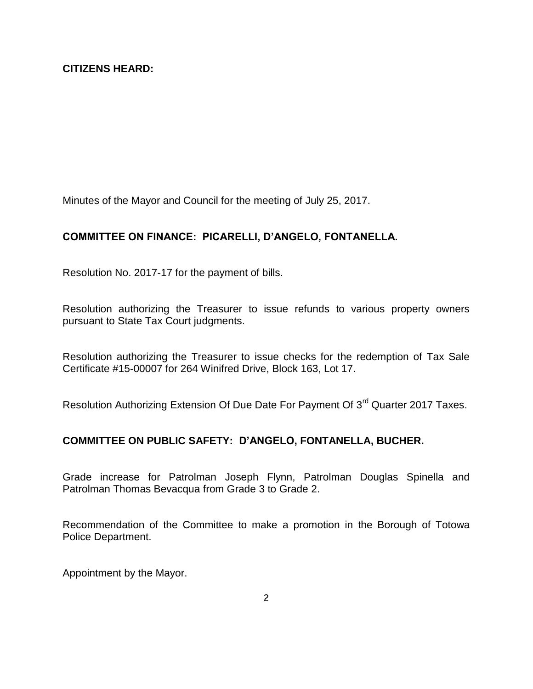Minutes of the Mayor and Council for the meeting of July 25, 2017.

# **COMMITTEE ON FINANCE: PICARELLI, D'ANGELO, FONTANELLA.**

Resolution No. 2017-17 for the payment of bills.

Resolution authorizing the Treasurer to issue refunds to various property owners pursuant to State Tax Court judgments.

Resolution authorizing the Treasurer to issue checks for the redemption of Tax Sale Certificate #15-00007 for 264 Winifred Drive, Block 163, Lot 17.

Resolution Authorizing Extension Of Due Date For Payment Of 3<sup>rd</sup> Quarter 2017 Taxes.

## **COMMITTEE ON PUBLIC SAFETY: D'ANGELO, FONTANELLA, BUCHER.**

Grade increase for Patrolman Joseph Flynn, Patrolman Douglas Spinella and Patrolman Thomas Bevacqua from Grade 3 to Grade 2.

Recommendation of the Committee to make a promotion in the Borough of Totowa Police Department.

Appointment by the Mayor.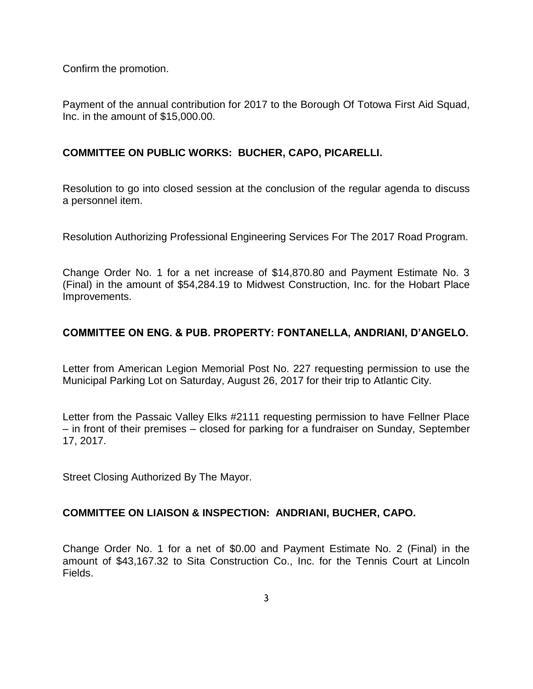Confirm the promotion.

Payment of the annual contribution for 2017 to the Borough Of Totowa First Aid Squad, Inc. in the amount of \$15,000.00.

#### **COMMITTEE ON PUBLIC WORKS: BUCHER, CAPO, PICARELLI.**

Resolution to go into closed session at the conclusion of the regular agenda to discuss a personnel item.

Resolution Authorizing Professional Engineering Services For The 2017 Road Program.

Change Order No. 1 for a net increase of \$14,870.80 and Payment Estimate No. 3 (Final) in the amount of \$54,284.19 to Midwest Construction, Inc. for the Hobart Place Improvements.

## **COMMITTEE ON ENG. & PUB. PROPERTY: FONTANELLA, ANDRIANI, D'ANGELO.**

Letter from American Legion Memorial Post No. 227 requesting permission to use the Municipal Parking Lot on Saturday, August 26, 2017 for their trip to Atlantic City.

Letter from the Passaic Valley Elks #2111 requesting permission to have Fellner Place – in front of their premises – closed for parking for a fundraiser on Sunday, September 17, 2017.

Street Closing Authorized By The Mayor.

#### **COMMITTEE ON LIAISON & INSPECTION: ANDRIANI, BUCHER, CAPO.**

Change Order No. 1 for a net of \$0.00 and Payment Estimate No. 2 (Final) in the amount of \$43,167.32 to Sita Construction Co., Inc. for the Tennis Court at Lincoln Fields.